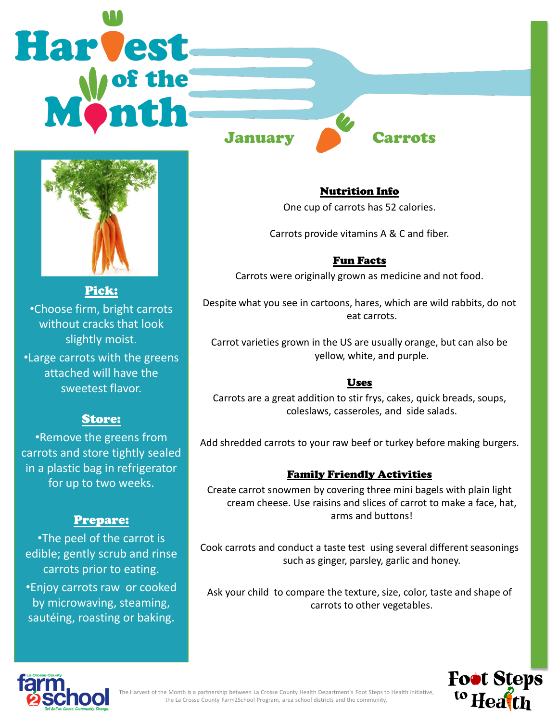# **Harvest**







Pick: •Choose firm, bright carrots without cracks that look slightly moist.

•Large carrots with the greens attached will have the sweetest flavor.

# Store:

•Remove the greens from carrots and store tightly sealed in a plastic bag in refrigerator for up to two weeks.

## Prepare:

•The peel of the carrot is edible; gently scrub and rinse carrots prior to eating.

•Enjoy carrots raw or cooked by microwaving, steaming, sautéing, roasting or baking.

# Nutrition Info

One cup of carrots has 52 calories.

Carrots provide vitamins A & C and fiber.

## Fun Facts

Carrots were originally grown as medicine and not food.

Despite what you see in cartoons, hares, which are wild rabbits, do not eat carrots.

Carrot varieties grown in the US are usually orange, but can also be yellow, white, and purple.

# Uses

Carrots are a great addition to stir frys, cakes, quick breads, soups, coleslaws, casseroles, and side salads.

Add shredded carrots to your raw beef or turkey before making burgers.

## Family Friendly Activities

Create carrot snowmen by covering three mini bagels with plain light cream cheese. Use raisins and slices of carrot to make a face, hat, arms and buttons!

Cook carrots and conduct a taste test using several different seasonings such as ginger, parsley, garlic and honey.

Ask your child to compare the texture, size, color, taste and shape of carrots to other vegetables.